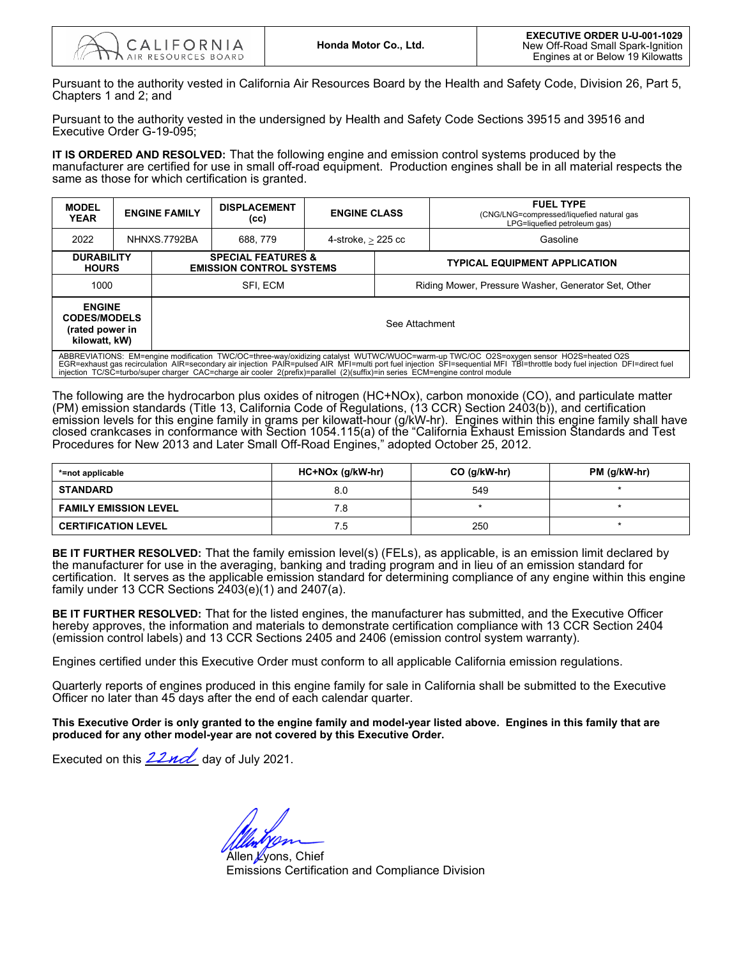Pursuant to the authority vested in California Air Resources Board by the Health and Safety Code, Division 26, Part 5, Chapters 1 and 2; and

Pursuant to the authority vested in the undersigned by Health and Safety Code Sections 39515 and 39516 and Executive Order G-19-095;

**IT IS ORDERED AND RESOLVED:** That the following engine and emission control systems produced by the manufacturer are certified for use in small off-road equipment. Production engines shall be in all material respects the same as those for which certification is granted.

| <b>MODEL</b><br><b>YEAR</b>                                                                                                                                                                                                                                                                                               | <b>ENGINE FAMILY</b> |                                                                  | <b>DISPLACEMENT</b><br>(cc) | <b>ENGINE CLASS</b>  |                                                     | <b>FUEL TYPE</b><br>(CNG/LNG=compressed/liquefied natural gas<br>LPG=liquefied petroleum gas) |  |  |
|---------------------------------------------------------------------------------------------------------------------------------------------------------------------------------------------------------------------------------------------------------------------------------------------------------------------------|----------------------|------------------------------------------------------------------|-----------------------------|----------------------|-----------------------------------------------------|-----------------------------------------------------------------------------------------------|--|--|
| 2022                                                                                                                                                                                                                                                                                                                      | NHNXS.7792BA         |                                                                  | 688, 779                    | 4-stroke, $>$ 225 cc |                                                     | Gasoline                                                                                      |  |  |
| <b>DURABILITY</b><br><b>HOURS</b>                                                                                                                                                                                                                                                                                         |                      | <b>SPECIAL FEATURES &amp;</b><br><b>EMISSION CONTROL SYSTEMS</b> |                             |                      | <b>TYPICAL EQUIPMENT APPLICATION</b>                |                                                                                               |  |  |
| 1000                                                                                                                                                                                                                                                                                                                      |                      | SFI. ECM                                                         |                             |                      | Riding Mower, Pressure Washer, Generator Set, Other |                                                                                               |  |  |
| <b>ENGINE</b><br><b>CODES/MODELS</b><br>(rated power in<br>kilowatt, kW)                                                                                                                                                                                                                                                  |                      | See Attachment                                                   |                             |                      |                                                     |                                                                                               |  |  |
| ABBREVIATIONS: EM=engine modification TWC/OC=three-way/oxidizing catalyst WUTWC/WUOC=warm-up TWC/OC O2S=oxygen sensor HO2S=heated O2S<br>EGR=exhaust ges recirculation, AIR=secondary air injection, PAIR=pulsed AIR, MEL=multi port fuel injection, SEL=sequential MEL TRL=throttle body fuel injection, DEL=direct fuel |                      |                                                                  |                             |                      |                                                     |                                                                                               |  |  |

ABBREVIATIONS: EM=engine modification TWC/OC=three-way/oxidizing catalyst WUTWC/WUOC=warm-up TWC/OC\_O2S=oxygen sensor\_HO2S=heated O2S<br>EGR=exhaust gas recirculation AIR=secondary air injection\_PAIR=pulsed AIRT=multi port f

The following are the hydrocarbon plus oxides of nitrogen (HC+NOx), carbon monoxide (CO), and particulate matter (PM) emission standards (Title 13, California Code of Regulations, (13 CCR) Section 2403(b)), and certification emission levels for this engine family in grams per kilowatt-hour (g/kW-hr). Engines within this engine family shall have closed crankcases in conformance with Section 1054.115(a) of the "California Exhaust Emission Standards and Test Procedures for New 2013 and Later Small Off-Road Engines," adopted October 25, 2012.

| *=not applicable             | HC+NOx (g/kW-hr) | $CO$ (g/kW-hr) | PM (g/kW-hr) |  |
|------------------------------|------------------|----------------|--------------|--|
| <b>STANDARD</b>              | 8.0              | 549            |              |  |
| <b>FAMILY EMISSION LEVEL</b> | 8.'              |                |              |  |
| <b>CERTIFICATION LEVEL</b>   | ⁄.5              | 250            |              |  |

**BE IT FURTHER RESOLVED:** That the family emission level(s) (FELs), as applicable, is an emission limit declared by the manufacturer for use in the averaging, banking and trading program and in lieu of an emission standard for certification. It serves as the applicable emission standard for determining compliance of any engine within this engine family under 13 CCR Sections  $2403(e)(1)$  and  $2407(a)$ .

 **BE IT FURTHER RESOLVED:** That for the listed engines, the manufacturer has submitted, and the Executive Officer hereby approves, the information and materials to demonstrate certification compliance with 13 CCR Section 2404 (emission control labels) and 13 CCR Sections 2405 and 2406 (emission control system warranty).

Engines certified under this Executive Order must conform to all applicable California emission regulations.

Quarterly reports of engines produced in this engine family for sale in California shall be submitted to the Executive Officer no later than 45 days after the end of each calendar quarter.

 **produced for any other model-year are not covered by this Executive Order. This Executive Order is only granted to the engine family and model-year listed above. Engines in this family that are** 

Executed on this *ZZnd*Z day of July 2021.

Allen *L*yons, Chief Emissions Certification and Compliance Division